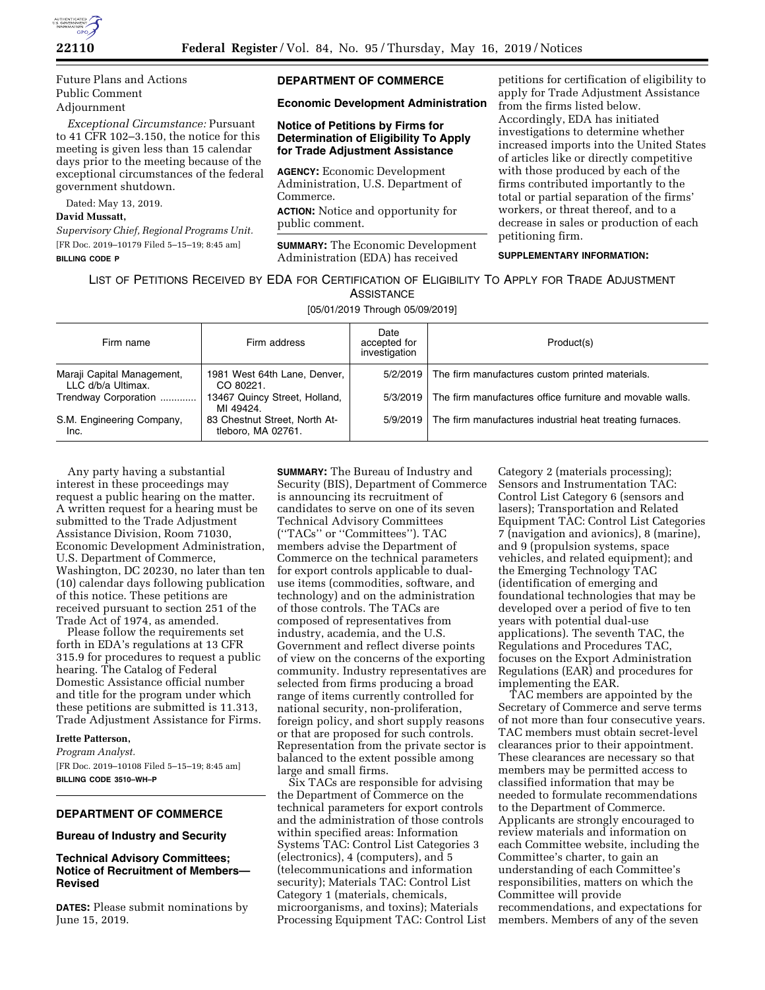

Future Plans and Actions Public Comment Adjournment

*Exceptional Circumstance:* Pursuant to 41 CFR 102–3.150, the notice for this meeting is given less than 15 calendar days prior to the meeting because of the exceptional circumstances of the federal government shutdown.

Dated: May 13, 2019.

#### **David Mussatt,**

*Supervisory Chief, Regional Programs Unit.*  [FR Doc. 2019–10179 Filed 5–15–19; 8:45 am] **BILLING CODE P** 

### **DEPARTMENT OF COMMERCE**

#### **Economic Development Administration**

### **Notice of Petitions by Firms for Determination of Eligibility To Apply for Trade Adjustment Assistance**

**AGENCY:** Economic Development Administration, U.S. Department of Commerce.

**ACTION:** Notice and opportunity for public comment.

from the firms listed below. Accordingly, EDA has initiated investigations to determine whether increased imports into the United States of articles like or directly competitive with those produced by each of the firms contributed importantly to the total or partial separation of the firms' workers, or threat thereof, and to a decrease in sales or production of each petitioning firm.

petitions for certification of eligibility to apply for Trade Adjustment Assistance

# **SUPPLEMENTARY INFORMATION:**

# LIST OF PETITIONS RECEIVED BY EDA FOR CERTIFICATION OF ELIGIBILITY TO APPLY FOR TRADE ADJUSTMENT **ASSISTANCE**

**SUMMARY:** The Economic Development Administration (EDA) has received

[05/01/2019 Through 05/09/2019]

| Firm name                                        | Firm address                                        | Date<br>accepted for<br>investigation | Product(s)                                                |
|--------------------------------------------------|-----------------------------------------------------|---------------------------------------|-----------------------------------------------------------|
| Maraji Capital Management,<br>LLC d/b/a Ultimax. | 1981 West 64th Lane, Denver,<br>CO 80221.           | 5/2/2019                              | The firm manufactures custom printed materials.           |
| Trendway Corporation                             | 13467 Quincy Street, Holland,<br>MI 49424.          | 5/3/2019                              | The firm manufactures office furniture and movable walls. |
| S.M. Engineering Company,<br>Inc.                | 83 Chestnut Street, North At-<br>tleboro, MA 02761. | 5/9/2019                              | The firm manufactures industrial heat treating furnaces.  |

Any party having a substantial interest in these proceedings may request a public hearing on the matter. A written request for a hearing must be submitted to the Trade Adjustment Assistance Division, Room 71030, Economic Development Administration, U.S. Department of Commerce, Washington, DC 20230, no later than ten (10) calendar days following publication of this notice. These petitions are received pursuant to section 251 of the Trade Act of 1974, as amended.

Please follow the requirements set forth in EDA's regulations at 13 CFR 315.9 for procedures to request a public hearing. The Catalog of Federal Domestic Assistance official number and title for the program under which these petitions are submitted is 11.313, Trade Adjustment Assistance for Firms.

#### **Irette Patterson,**

*Program Analyst.*  [FR Doc. 2019–10108 Filed 5–15–19; 8:45 am] **BILLING CODE 3510–WH–P** 

# **DEPARTMENT OF COMMERCE**

### **Bureau of Industry and Security**

# **Technical Advisory Committees; Notice of Recruitment of Members— Revised**

**DATES:** Please submit nominations by June 15, 2019.

**SUMMARY:** The Bureau of Industry and Security (BIS), Department of Commerce is announcing its recruitment of candidates to serve on one of its seven Technical Advisory Committees (''TACs'' or ''Committees''). TAC members advise the Department of Commerce on the technical parameters for export controls applicable to dualuse items (commodities, software, and technology) and on the administration of those controls. The TACs are composed of representatives from industry, academia, and the U.S. Government and reflect diverse points of view on the concerns of the exporting community. Industry representatives are selected from firms producing a broad range of items currently controlled for national security, non-proliferation, foreign policy, and short supply reasons or that are proposed for such controls. Representation from the private sector is balanced to the extent possible among large and small firms.

Six TACs are responsible for advising the Department of Commerce on the technical parameters for export controls and the administration of those controls within specified areas: Information Systems TAC: Control List Categories 3 (electronics), 4 (computers), and 5 (telecommunications and information security); Materials TAC: Control List Category 1 (materials, chemicals, microorganisms, and toxins); Materials Processing Equipment TAC: Control List

Category 2 (materials processing); Sensors and Instrumentation TAC: Control List Category 6 (sensors and lasers); Transportation and Related Equipment TAC: Control List Categories 7 (navigation and avionics), 8 (marine), and 9 (propulsion systems, space vehicles, and related equipment); and the Emerging Technology TAC (identification of emerging and foundational technologies that may be developed over a period of five to ten years with potential dual-use applications). The seventh TAC, the Regulations and Procedures TAC, focuses on the Export Administration Regulations (EAR) and procedures for implementing the EAR.

TAC members are appointed by the Secretary of Commerce and serve terms of not more than four consecutive years. TAC members must obtain secret-level clearances prior to their appointment. These clearances are necessary so that members may be permitted access to classified information that may be needed to formulate recommendations to the Department of Commerce. Applicants are strongly encouraged to review materials and information on each Committee website, including the Committee's charter, to gain an understanding of each Committee's responsibilities, matters on which the Committee will provide recommendations, and expectations for members. Members of any of the seven